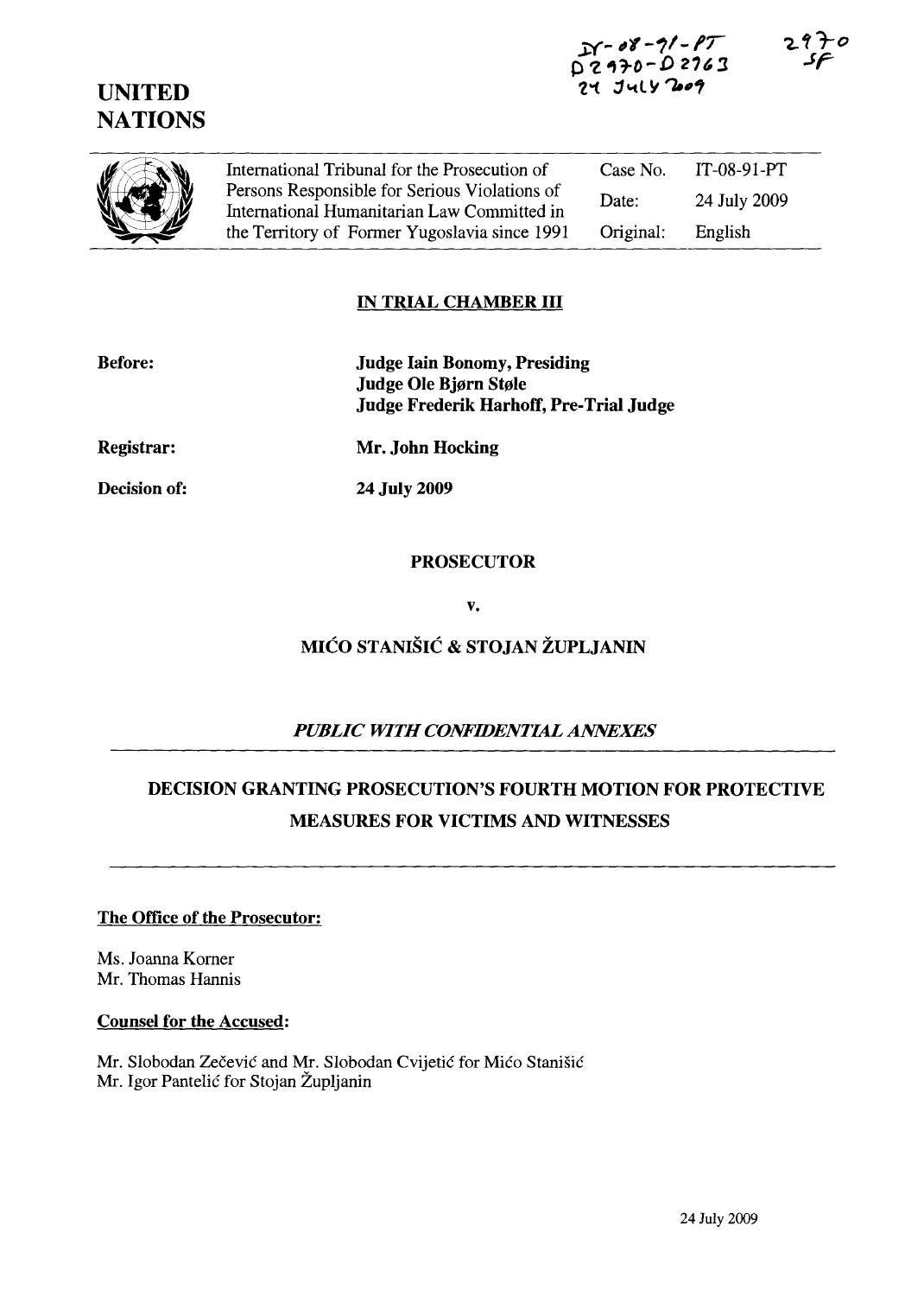## UNITED **NATIONS**

| (C) | International Tribunal for the Prosecution of                                                | Case No.  | $IT-08-91-PT$ |
|-----|----------------------------------------------------------------------------------------------|-----------|---------------|
|     | Persons Responsible for Serious Violations of<br>International Humanitarian Law Committed in | Date:     | 24 July 2009  |
|     | the Territory of Former Yugoslavia since 1991                                                | Original: | English       |

### IN TRIAL CHAMBER III

| <b>Before:</b>    | <b>Judge Iain Bonomy, Presiding</b><br>Judge Ole Bjørn Støle<br>Judge Frederik Harhoff, Pre-Trial Judge |
|-------------------|---------------------------------------------------------------------------------------------------------|
| <b>Registrar:</b> | Mr. John Hocking                                                                                        |
| Decision of:      | 24 July 2009                                                                                            |

#### PROSECUTOR

v.

# MICO STANISIC & STOJAN ZUPLJANIN

## *PUBLIC WITH CONFIDENTIAL ANNEXES*

## DECISION GRANTING PROSECUTION'S FOURTH MOTION FOR PROTECTIVE MEASURES FOR VICTIMS AND WITNESSES

#### The Office of the Prosecutor:

Ms. Joanna Komer Mr. Thomas Hannis

#### Counsel for the Accused:

Mr. Slobodan Zečević and Mr. Slobodan Cvijetić for Mićo Stanišić Mr. Igor Pantelic for Stojan Zupljanin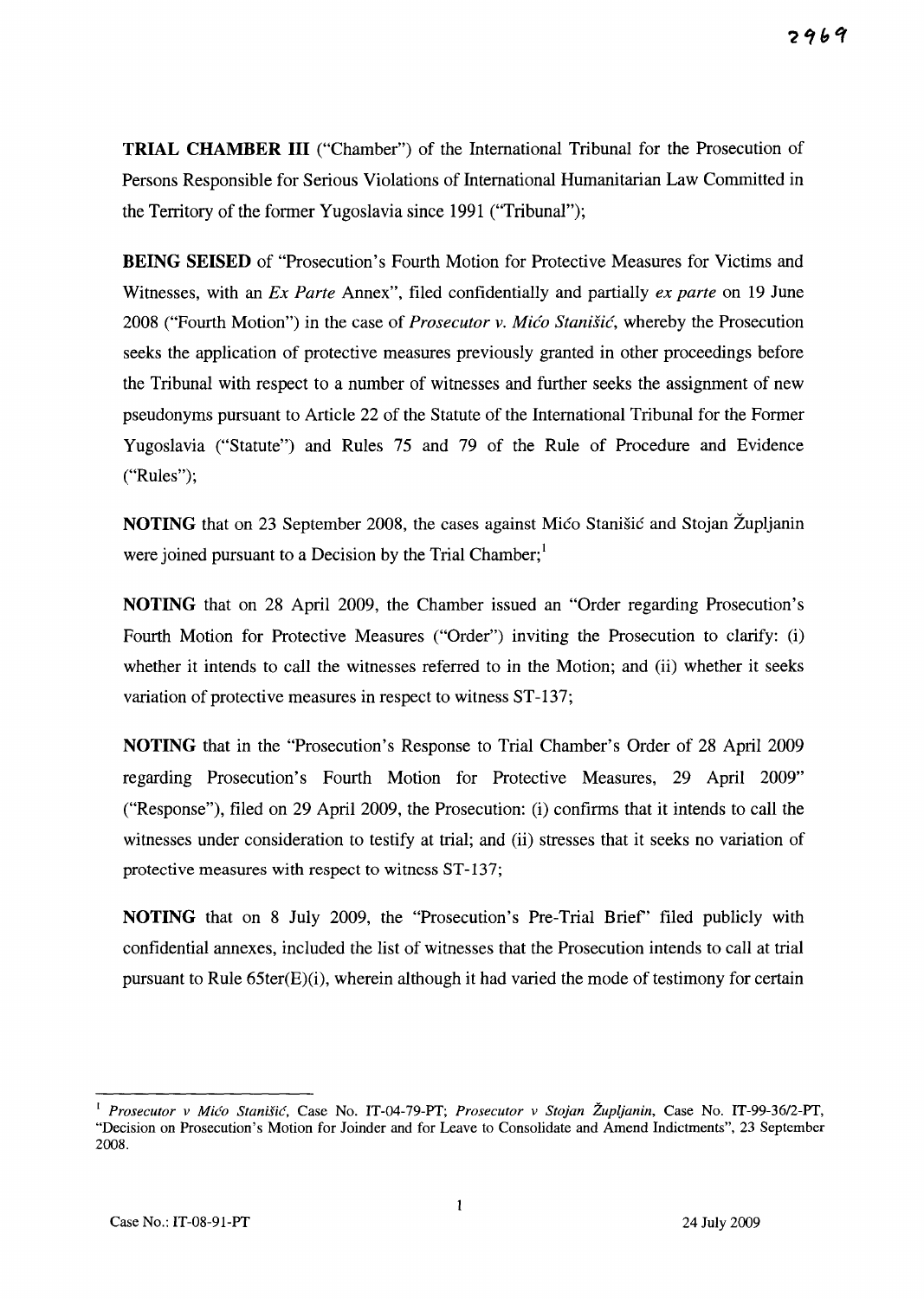**TRIAL CHAMBER III** ("Chamber") of the International Tribunal for the Prosecution of Persons Responsible for Serious Violations of International Humanitarian Law Committed in the Territory of the former Yugoslavia since 1991 ("Tribunal");

**BEING SEISED** of "Prosecution's Fourth Motion for Protective Measures for Victims and Witnesses, with an *Ex Parte* Annex", filed confidentially and partially *ex parte* on 19 June 2008 ("Fourth Motion") in the case of *Prosecutor* v. *Mica Stanish:,* whereby the Prosecution seeks the application of protective measures previously granted in other proceedings before the Tribunal with respect to a number of witnesses and further seeks the assignment of new pseudonyms pursuant to Article 22 of the Statute of the International Tribunal for the Former Yugoslavia ("Statute") and Rules 75 and 79 of the Rule of Procedure and Evidence ("Rules");

**NOTING** that on 23 September 2008, the cases against Mico Stanišic and Stojan Župljanin were joined pursuant to a Decision by the Trial Chamber;<sup>1</sup>

**NOTING** that on 28 April 2009, the Chamber issued an "Order regarding Prosecution's Fourth Motion for Protective Measures ("Order") inviting the Prosecution to clarify: (i) whether it intends to call the witnesses referred to in the Motion; and (ii) whether it seeks variation of protective measures in respect to witness ST-137;

**NOTING** that in the "Prosecution's Response to Trial Chamber's Order of 28 April 2009 regarding Prosecution's Fourth Motion for Protective Measures, 29 April 2009" ("Response"), filed on 29 April 2009, the Prosecution: (i) confirms that it intends to call the witnesses under consideration to testify at trial; and (ii) stresses that it seeks no variation of protective measures with respect to witness ST-137;

**NOTING** that on 8 July 2009, the "Prosecution's Pre-Trial Brief' filed publicly with confidential annexes, included the list of witnesses that the Prosecution intends to call at trial pursuant to Rule 65ter(E)(i), wherein although it had varied the mode of testimony for certain

<sup>1</sup>*Prosecutor v Mico Stanisic,* Case No. IT-04-79-PT; *Prosecutor v Stojan Zupljanin,* Case No. IT-99-36/2-PT, "Decision on Prosecution's Motion for Joinder and for Leave to Consolidate and Amend Indictments", 23 September 2008.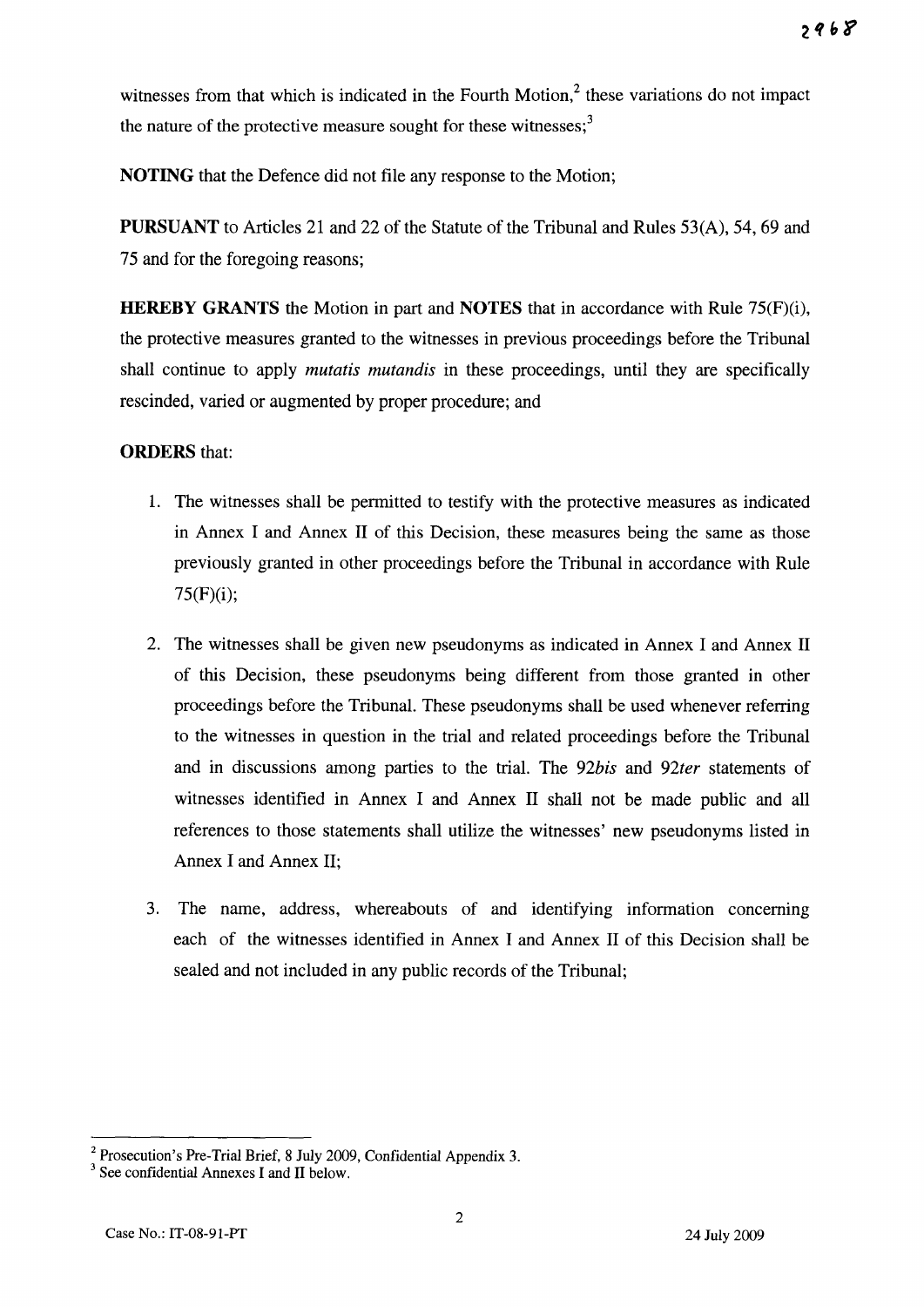witnesses from that which is indicated in the Fourth Motion,<sup>2</sup> these variations do not impact the nature of the protective measure sought for these witnesses; $3$ 

**NOTING** that the Defence did not file any response to the Motion;

**PURSUANT** to Articles 21 and 22 of the Statute of the Tribunal and Rules 53(A), 54, 69 and 75 and for the foregoing reasons;

**HEREBY GRANTS** the Motion in part and **NOTES** that in accordance with Rule 75(F)(i), the protective measures granted to the witnesses in previous proceedings before the Tribunal shall continue to apply *mutatis mutandis* in these proceedings, until they are specifically rescinded, varied or augmented by proper procedure; and

### **ORDERS** that:

- 1. The witnesses shall be permitted to testify with the protective measures as indicated in Annex I and Annex II of this Decision, these measures being the same as those previously granted in other proceedings before the Tribunal in accordance with Rule 75(F)(i);
- 2. The witnesses shall be given new pseudonyms as indicated in Annex I and Annex II of this Decision, these pseudonyms being different from those granted in other proceedings before the Tribunal. These pseudonyms shall be used whenever referring to the witnesses in question in the trial and related proceedings before the Tribunal and in discussions among parties to the trial. The *92bis* and *92ter* statements of witnesses identified in Annex I and Annex II shall not be made public and all references to those statements shall utilize the witnesses' new pseudonyms listed in Annex I and Annex II;
- 3. The name, address, whereabouts of and identifying information concerning each of the witnesses identified in Annex I and Annex II of this Decision shall be sealed and not included in any public records of the Tribunal;

<sup>2</sup> Prosecution's Pre-Trial Brief, 8 July 2009, Confidential Appendix 3.

<sup>&</sup>lt;sup>3</sup> See confidential Annexes I and II below.